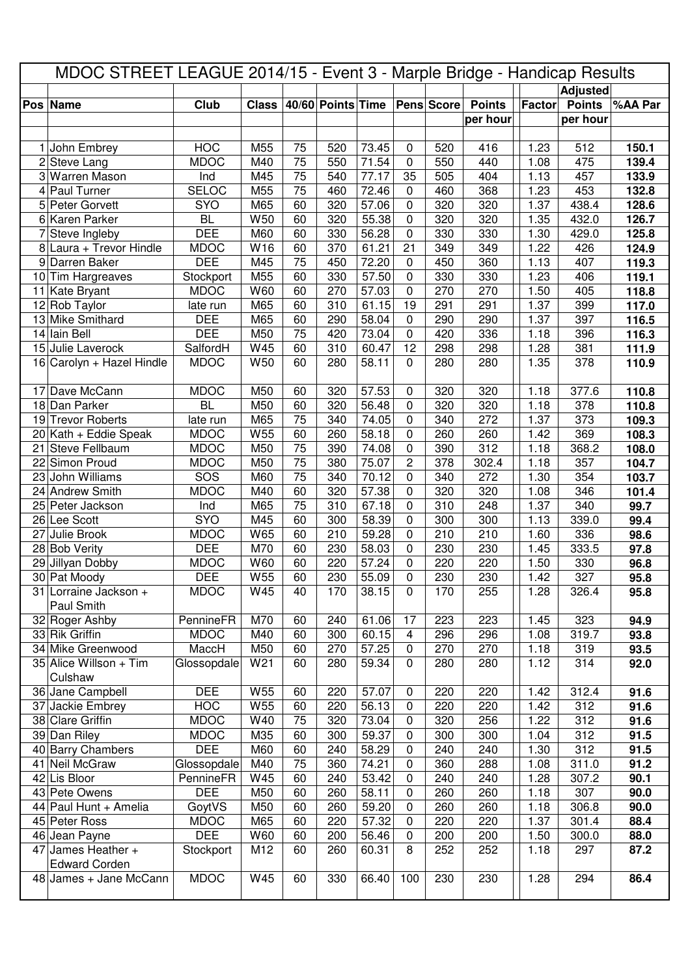| MDOC STREET LEAGUE 2014/15 - Event 3 - Marple Bridge - Handicap Results |                         |              |              |    |                   |       |                |            |               |        |                 |         |
|-------------------------------------------------------------------------|-------------------------|--------------|--------------|----|-------------------|-------|----------------|------------|---------------|--------|-----------------|---------|
|                                                                         |                         |              |              |    |                   |       |                |            |               |        | <b>Adjusted</b> |         |
|                                                                         | Pos Name                | Club         | <b>Class</b> |    | 40/60 Points Time |       |                | Pens Score | <b>Points</b> | Factor | <b>Points</b>   | %AA Par |
|                                                                         |                         |              |              |    |                   |       |                |            | per hour      |        | per hour        |         |
|                                                                         |                         |              |              |    |                   |       |                |            |               |        |                 |         |
| 1                                                                       | John Embrey             | <b>HOC</b>   | M55          | 75 | 520               | 73.45 | 0              | 520        | 416           | 1.23   | 512             | 150.1   |
| 2                                                                       | Steve Lang              | <b>MDOC</b>  | M40          | 75 | 550               | 71.54 | 0              | 550        | 440           | 1.08   | 475             | 139.4   |
| 3                                                                       | <b>Warren Mason</b>     | Ind          | M45          | 75 | 540               | 77.17 | 35             | 505        | 404           | 1.13   | 457             | 133.9   |
| 4                                                                       | Paul Turner             | <b>SELOC</b> | M55          | 75 | 460               | 72.46 | 0              | 460        | 368           | 1.23   | 453             | 132.8   |
|                                                                         | 5 Peter Gorvett         | <b>SYO</b>   | M65          | 60 | 320               | 57.06 | 0              | 320        | 320           | 1.37   | 438.4           | 128.6   |
| 6                                                                       | Karen Parker            | <b>BL</b>    | W50          | 60 | 320               | 55.38 | 0              | 320        | 320           | 1.35   | 432.0           | 126.7   |
| 7                                                                       | Steve Ingleby           | <b>DEE</b>   | M60          | 60 | 330               | 56.28 | 0              | 330        | 330           | 1.30   | 429.0           | 125.8   |
| 8                                                                       | Laura + Trevor Hindle   | <b>MDOC</b>  | W16          | 60 | 370               | 61.21 | 21             | 349        | 349           | 1.22   | 426             | 124.9   |
| 9                                                                       | Darren Baker            | <b>DEE</b>   | M45          | 75 | 450               | 72.20 | 0              | 450        | 360           | 1.13   | 407             | 119.3   |
|                                                                         | 10 Tim Hargreaves       | Stockport    | M55          | 60 | 330               | 57.50 | 0              | 330        | 330           | 1.23   | 406             | 119.1   |
|                                                                         | 11 Kate Bryant          | <b>MDOC</b>  | W60          | 60 | 270               | 57.03 | 0              | 270        | 270           | 1.50   | 405             | 118.8   |
|                                                                         | 12 Rob Taylor           | late run     | M65          | 60 | 310               | 61.15 | 19             | 291        | 291           | 1.37   | 399             | 117.0   |
|                                                                         | 13 Mike Smithard        | <b>DEE</b>   | M65          | 60 | 290               | 58.04 | 0              | 290        | 290           | 1.37   | 397             | 116.5   |
|                                                                         | 14 Iain Bell            | <b>DEE</b>   | M50          | 75 | 420               | 73.04 | $\mathbf 0$    | 420        | 336           |        | 396             |         |
|                                                                         |                         |              |              |    |                   |       | 12             |            |               | 1.18   |                 | 116.3   |
| 15                                                                      | Julie Laverock          | SalfordH     | W45          | 60 | 310               | 60.47 |                | 298        | 298           | 1.28   | 381             | 111.9   |
| 16                                                                      | Carolyn + Hazel Hindle  | <b>MDOC</b>  | W50          | 60 | 280               | 58.11 | 0              | 280        | 280           | 1.35   | 378             | 110.9   |
| 17                                                                      | Dave McCann             | <b>MDOC</b>  | M50          | 60 | 320               | 57.53 | 0              | 320        | 320           | 1.18   | 377.6           | 110.8   |
|                                                                         | 18 Dan Parker           | <b>BL</b>    | M50          | 60 | 320               | 56.48 | 0              | 320        | 320           | 1.18   | 378             | 110.8   |
|                                                                         | 19 Trevor Roberts       | late run     | M65          | 75 | 340               | 74.05 | 0              | 340        | 272           | 1.37   | 373             | 109.3   |
|                                                                         | $20$ Kath + Eddie Speak | <b>MDOC</b>  | W55          | 60 | 260               | 58.18 | 0              | 260        | 260           | 1.42   | 369             | 108.3   |
| 21                                                                      | Steve Fellbaum          | <b>MDOC</b>  | M50          | 75 | 390               | 74.08 | 0              | 390        | 312           | 1.18   | 368.2           | 108.0   |
|                                                                         | 22 Simon Proud          | <b>MDOC</b>  | M50          | 75 | 380               | 75.07 | $\overline{c}$ | 378        | 302.4         | 1.18   | 357             | 104.7   |
| 23                                                                      | John Williams           | SOS          | M60          | 75 | 340               | 70.12 | 0              | 340        | 272           | 1.30   | 354             | 103.7   |
|                                                                         | 24 Andrew Smith         | <b>MDOC</b>  | M40          | 60 | 320               | 57.38 | 0              | 320        | 320           | 1.08   | 346             | 101.4   |
|                                                                         |                         |              |              |    |                   |       |                |            |               |        |                 |         |
|                                                                         | 25 Peter Jackson        | Ind          | M65          | 75 | 310               | 67.18 | 0              | 310        | 248           | 1.37   | 340             | 99.7    |
|                                                                         | 26 Lee Scott            | SYO          | M45          | 60 | 300               | 58.39 | 0              | 300        | 300           | 1.13   | 339.0           | 99.4    |
| 27                                                                      | Julie Brook             | <b>MDOC</b>  | W65          | 60 | 210               | 59.28 | 0              | 210        | 210           | 1.60   | 336             | 98.6    |
|                                                                         | 28 Bob Verity           | <b>DEE</b>   | M70          | 60 | 230               | 58.03 | 0              | 230        | 230           | 1.45   | 333.5           | 97.8    |
|                                                                         | 29 Jillyan Dobby        | <b>MDOC</b>  | W60          | 60 | 220               | 57.24 | 0              | 220        | 220           | 1.50   | 330             | 96.8    |
|                                                                         | 30 Pat Moody            | <b>DEE</b>   | W55          | 60 | 230               | 55.09 | 0              | 230        | 230           | 1.42   | 327             | 95.8    |
|                                                                         | 31 Lorraine Jackson +   | <b>MDOC</b>  | W45          | 40 | 170               | 38.15 | 0              | 170        | 255           | 1.28   | 326.4           | 95.8    |
|                                                                         | Paul Smith              |              |              |    |                   |       |                |            |               |        |                 |         |
|                                                                         | 32 Roger Ashby          | PennineFR    | M70          | 60 | 240               | 61.06 | 17             | 223        | 223           | 1.45   | 323             | 94.9    |
|                                                                         | 33 Rik Griffin          | <b>MDOC</b>  | M40          | 60 | 300               | 60.15 | 4              | 296        | 296           | 1.08   | 319.7           | 93.8    |
|                                                                         | 34 Mike Greenwood       | MaccH        | M50          | 60 | 270               | 57.25 | 0              | 270        | 270           | 1.18   | 319             | 93.5    |
|                                                                         | 35 Alice Willson + Tim  | Glossopdale  | W21          | 60 | 280               | 59.34 | $\mathbf 0$    | 280        | 280           | 1.12   | 314             | 92.0    |
|                                                                         | Culshaw                 |              |              |    |                   |       |                |            |               |        |                 |         |
|                                                                         | 36 Jane Campbell        | <b>DEE</b>   | W55          | 60 | 220               | 57.07 | 0              | 220        | 220           | 1.42   | 312.4           | 91.6    |
| 37                                                                      | Jackie Embrey           | <b>HOC</b>   | W55          | 60 | 220               | 56.13 | $\pmb{0}$      | 220        | 220           | 1.42   | 312             | 91.6    |
|                                                                         | 38 Clare Griffin        | <b>MDOC</b>  | W40          | 75 | 320               | 73.04 | $\mathbf 0$    | 320        | 256           | 1.22   | 312             | 91.6    |
|                                                                         | 39 Dan Riley            | <b>MDOC</b>  | M35          | 60 | 300               | 59.37 | 0              | 300        | 300           | 1.04   | 312             | 91.5    |
|                                                                         | 40 Barry Chambers       | <b>DEE</b>   | M60          | 60 | 240               | 58.29 | 0              | 240        | 240           | 1.30   | 312             | 91.5    |
|                                                                         | 41 Neil McGraw          | Glossopdale  | M40          | 75 | 360               | 74.21 | 0              | 360        | 288           | 1.08   | 311.0           | 91.2    |
|                                                                         | 42 Lis Bloor            | PennineFR    | W45          | 60 | 240               | 53.42 | 0              | 240        | 240           | 1.28   | 307.2           | 90.1    |
|                                                                         |                         |              |              |    |                   |       |                |            |               |        |                 |         |
|                                                                         | 43 Pete Owens           | <b>DEE</b>   | M50          | 60 | 260               | 58.11 | 0              | 260        | 260           | 1.18   | 307             | 90.0    |
|                                                                         | 44 Paul Hunt + Amelia   | GoytVS       | M50          | 60 | 260               | 59.20 | 0              | 260        | 260           | 1.18   | 306.8           | 90.0    |
|                                                                         | 45 Peter Ross           | <b>MDOC</b>  | M65          | 60 | 220               | 57.32 | 0              | 220        | 220           | 1.37   | 301.4           | 88.4    |
|                                                                         | 46 Jean Payne           | <b>DEE</b>   | W60          | 60 | 200               | 56.46 | 0              | 200        | 200           | 1.50   | 300.0           | 88.0    |
| 47                                                                      | James Heather +         | Stockport    | M12          | 60 | 260               | 60.31 | 8              | 252        | 252           | 1.18   | 297             | 87.2    |
|                                                                         | <b>Edward Corden</b>    |              |              |    |                   |       |                |            |               |        |                 |         |
|                                                                         | 48 James + Jane McCann  | <b>MDOC</b>  | W45          | 60 | 330               | 66.40 | 100            | 230        | 230           | 1.28   | 294             | 86.4    |
|                                                                         |                         |              |              |    |                   |       |                |            |               |        |                 |         |